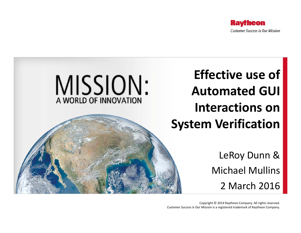



Copyright © 2014 Raytheon Company. All rights reserved. *Customer Success Is Our Mission* is a registered trademark of Raytheon Company.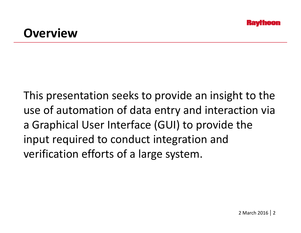#### **Overview**

This presentation seeks to provide an insight to the use of automation of data entry and interaction via a Graphical User Interface (GUI) to provide the input required to conduct integration and verification efforts of a large system.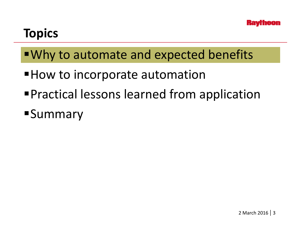#### **Topics**

- Why to automate and expected benefits
- $\blacksquare$  How to incorporate automation
- Practical lessons learned from application
- **Summary**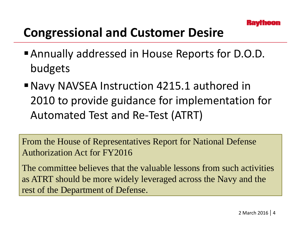#### **Congressional and Customer Desire**

- Annually addressed in House Reports for D.O.D. bud gets
- Navy NAVSEA Instruction 4215.1 authored in 2010 to provide guidance for implementation for Automated Test and Re-Test (ATRT)

From the House of Representatives Report for National Defense Authorization Act for FY2016

The committee believes that the valuable lessons from such activities as ATRT should be more widely leveraged across the Navy and the rest of the Department of Defense.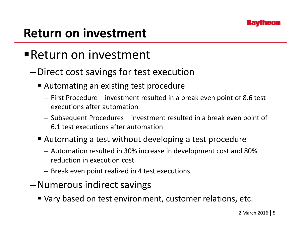#### **Return on investment**

#### Return on investment

- –Direct cost savings for test execution
	- Automating an existing test procedure
		- First Procedure investment resulted in a break even point of 8.6 test executions after automation
		- Subsequent Procedures investment resulted in a break even point of 6.1 test executions after automation
	- Automating a test without developing a test procedure
		- Automation resulted in 30% increase in development cost and 80% reduction in execution cost
		- Break even point realized in 4 test executions
- –Numerous indirect savin g s
	- Vary based on test environment, customer relations, etc.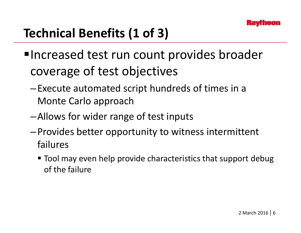# **Technical Benefits (1 of 3)**

- ■Increased test run count provides broader coverage of test objectives
	- –Execute automated script hundreds of times in a Monte Carlo approach
	- –Allows for wider range of test inputs
	- $-$  Provides better opportunity to witness intermittent failures
		- $\blacksquare$  Tool may even help provide characteristics that support debug of the failure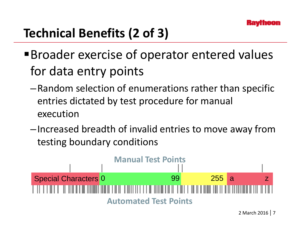# **Technical Benefits (2 of 3)**

- Broader exercise of operator entered values for data entry points
	- –Random selection of enumerations rather than specific entries dictated by test procedure for manual execution
	- –Increased breadth of invalid entries to move away from testing boundary conditions



2 March 2016 | 7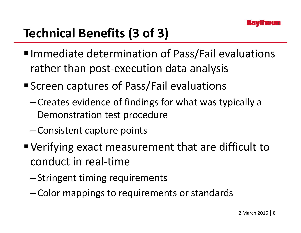# **Technical Benefits (3 of 3)**

- Immediate determination of Pass/Fail evaluations rather than post-execution data anal ysis
- Screen captures of Pass/Fail evaluations
	- –Creates evidence of findings for what was typically <sup>a</sup> Demonstration test procedure
	- –Consistent capture points
- Verifying exact measurement that are difficult to conduct in real-time
	- –Stringent timing requirements
	- -Color mappings to requirements or standards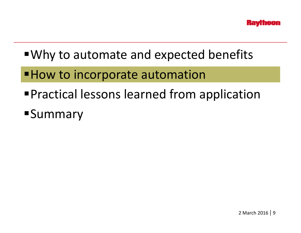- Why to automate and expected benefits
- $\blacksquare$  How to incorporate automation
- Practical lessons learned from application
- **Summary**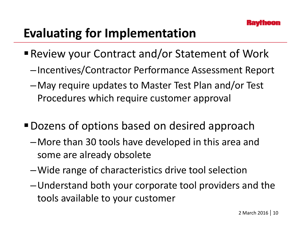## **Evaluating for Implementation**

- Review your Contract and/or Statement of Work
	- –Incentives/Contractor Performance Assessment Report
	- –May require updates to Master Test Plan and/or Test Procedures which require customer approval
- Dozens of options based on desired approach
	- –More than 30 tools have developed in this area and some are already obsolete
	- –Wide range of characteristics drive tool selection
	- –Understand both your corporate tool providers and the tools available to your customer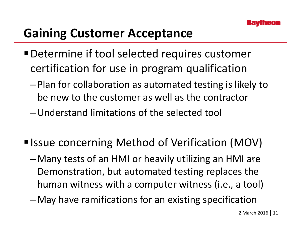# **Gaining Customer Acceptance**

- Determine if tool selected requires customer certification for use in program qualification
	- –Plan for collaboration as automated testing is likely to be new to the customer as well as the contractor
	- –Understand limitations of the selected tool
- Issue concerning Method of Verification (MOV)
	- –Many tests of an HMI or heavily utilizing an HMI are Demonstration, but automated testing replaces the human witness with a computer witness (i.e., a tool)
	- –May have ramifications for an existing specification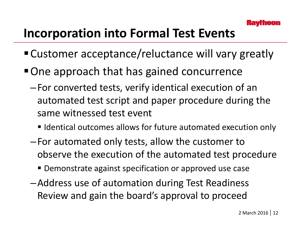## **Incorporation into Formal Test Events**

- Customer acceptance/reluctance will vary greatly
- One approach that has gained concurrence
	- –For converted tests, verify identical execution of an automated test script and paper procedure during the same witnessed test event
		- Identical outcomes allows for future automated execution only
	- –For automated only tests, allow the customer to observe the execution of the automated test procedure
		- **Demonstrate against specification or approved use case**
	- –Address use of automation during Test Readiness Review and gain the board's approval to proceed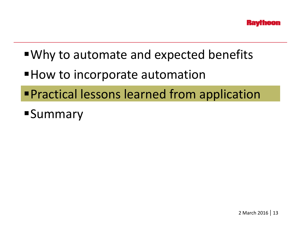- Why to automate and expected benefits
- $\blacksquare$  How to incorporate automation
- Practical lessons learned from application
- **Summary**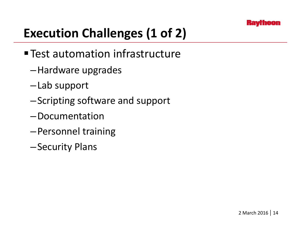# **Execution Challenges (1 of 2)**

- Test automation infrastructure
	- –Hardware upgrades
	- –Lab support
	- –Scripting software and support
	- –Documentation
	- –Personnel training
	- –Security Plans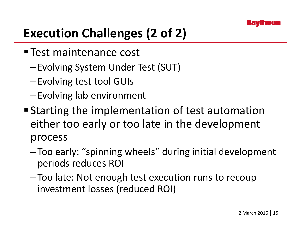# **Execution Challenges (2 of 2)**

- Test maintenance cost
	- —Evolving System Under Test (SUT)
	- –Evolving test tool GUIs
	- –Evolving lab environment
- Starting the implementation of test automation either too early or too late in the development process
	- –Too early: "spinning wheels" during initial development periods reduces ROI
	- –Too late: Not enough test execution runs to recoup investment losses (reduced ROI)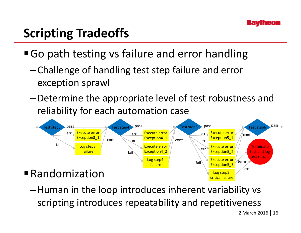## **Scripting Tradeoffs**

■ Go path testing vs failure and error handling

- $-$ Challenge of handling test step failure and error exception sprawl
- -Determine the appropriate level of test robustness and reliability for each automation case



Human in the loop introduces inherent variability vs – scripting introduces repeatability and repetitiveness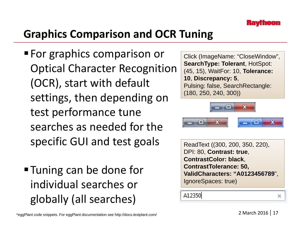#### **Graphics Comparison and OCR Tuning**

- **For graphics comparison or** Optical Character Recognition (OCR), start with default settings, then depending on  $\frac{(180, 250, 240, 300)}{2}$ test performance tune searches as needed for the specific GUI and test goals ReadText ((300, 200, 350, 220),
- Tuning can be done for individual searches or globally (all searches)

Click (ImageName: "CloseWindow", **SearchType: Tolerant**, HotSpot: **gnition** (45, 15), WaitFor: 10, Tolerance: **10**, **Discrepancy: 5**, Pulsing: false, SearchRectangle:



```
DPI: 80, Contrast: true, 
ContrastColor: black: , 
ContrastTolerance: 50, 
ValidCharacters: "A0123456789", 
IgnoreSpaces: true)
```
A12350

×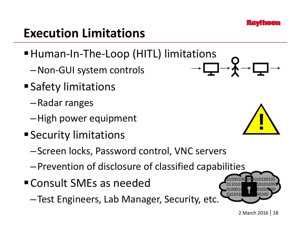#### **Execution Limitations**

- Human-In-The-Loop (HITL) limitations
	- —Non-GUI system controls
- Safety limitations
	- –Radar ranges
	- –High power equipment
- $\blacksquare$  Security limitati **Security limitations** 
	- –Screen locks, Password control, VNC servers
	- –Prevention of disclosure of classified capabilities
- Consult SMEs as needed
	- –Test Engineers, Lab Manager, Security, etc.



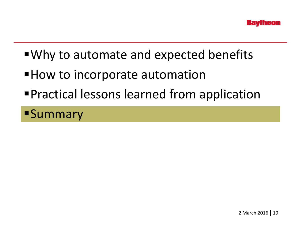- Why to automate and expected benefits
- $\blacksquare$  How to incorporate automation
- Practical lessons learned from application

**Summary**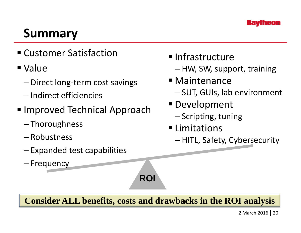

#### **Summary**

Customer Satisfaction

#### Value

- Direct long-term cost savings
- Indirect efficiencies
- **Improved Technical Approach** 
	- –Thoroughness
	-
	- $-$  Expanded test capabilities
	- Frequency
- **Infrastructure**
- e and the state of the HW, SW, support, training
	- Maintenance
		- –— SUT, GUIs, lab environment
	- **Development** 
		- $-$  Scripting, tuning
	- **ELimitations**
- Robustness Robustness HITL, Safety, Cybersecurity

**Consider ALL benefits, costs and drawbacks in the ROI analysis**

**ROI**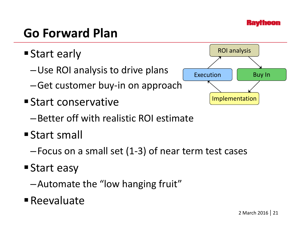

#### **Go Forward Plan**

- **Start early** 
	- –Use ROI analysis to drive plans
	- –Get customer buy-in on approach
- **Start conservative** 
	- –Better off with realistic ROI estimate
- **Start small** 
	- –Focus on a small set (1-3) of near term test cases
- Start easy
	- –Automate the "low hanging fruit"
- Reevaluate